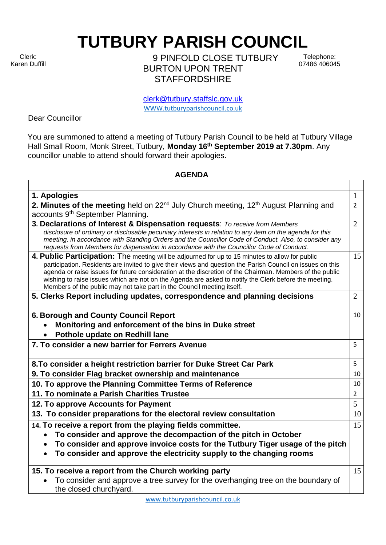Clerk: Karen Duffill **TUTBURY PARISH COUNCIL** 

9 PINFOLD CLOSE TUTBURY BURTON UPON TRENT **STAFFORDSHIRE** 

Telephone: 07486 406045

clerk@tutbury.staffslc.gov.uk [WWW.tutburyparishcouncil.co.uk](http://www.tutburyparishcouncil.co.uk/)

Dear Councillor

You are summoned to attend a meeting of Tutbury Parish Council to be held at Tutbury Village Hall Small Room, Monk Street, Tutbury, **Monday 16 th September 2019 at 7.30pm**. Any councillor unable to attend should forward their apologies.

## **AGENDA**

| 1. Apologies                                                                                                                                                                                                                                                                                                                                                                                                                                                                                                 | 1              |
|--------------------------------------------------------------------------------------------------------------------------------------------------------------------------------------------------------------------------------------------------------------------------------------------------------------------------------------------------------------------------------------------------------------------------------------------------------------------------------------------------------------|----------------|
| 2. Minutes of the meeting held on 22 <sup>nd</sup> July Church meeting, 12 <sup>th</sup> August Planning and                                                                                                                                                                                                                                                                                                                                                                                                 | $\overline{2}$ |
| accounts 9 <sup>th</sup> September Planning.                                                                                                                                                                                                                                                                                                                                                                                                                                                                 |                |
| 3. Declarations of Interest & Dispensation requests: To receive from Members<br>disclosure of ordinary or disclosable pecuniary interests in relation to any item on the agenda for this<br>meeting, in accordance with Standing Orders and the Councillor Code of Conduct. Also, to consider any<br>requests from Members for dispensation in accordance with the Councillor Code of Conduct.                                                                                                               | $\overline{2}$ |
| 4. Public Participation: The meeting will be adjourned for up to 15 minutes to allow for public<br>participation. Residents are invited to give their views and question the Parish Council on issues on this<br>agenda or raise issues for future consideration at the discretion of the Chairman. Members of the public<br>wishing to raise issues which are not on the Agenda are asked to notify the Clerk before the meeting.<br>Members of the public may not take part in the Council meeting itself. | 15             |
| 5. Clerks Report including updates, correspondence and planning decisions                                                                                                                                                                                                                                                                                                                                                                                                                                    | $\overline{2}$ |
| 6. Borough and County Council Report<br>Monitoring and enforcement of the bins in Duke street                                                                                                                                                                                                                                                                                                                                                                                                                | 10             |
| Pothole update on Redhill lane                                                                                                                                                                                                                                                                                                                                                                                                                                                                               |                |
| 7. To consider a new barrier for Ferrers Avenue                                                                                                                                                                                                                                                                                                                                                                                                                                                              | 5              |
| 8. To consider a height restriction barrier for Duke Street Car Park                                                                                                                                                                                                                                                                                                                                                                                                                                         | 5              |
| 9. To consider Flag bracket ownership and maintenance                                                                                                                                                                                                                                                                                                                                                                                                                                                        | 10             |
| 10. To approve the Planning Committee Terms of Reference                                                                                                                                                                                                                                                                                                                                                                                                                                                     | 10             |
| 11. To nominate a Parish Charities Trustee                                                                                                                                                                                                                                                                                                                                                                                                                                                                   | $\overline{2}$ |
| 12. To approve Accounts for Payment                                                                                                                                                                                                                                                                                                                                                                                                                                                                          | 5              |
| 13. To consider preparations for the electoral review consultation                                                                                                                                                                                                                                                                                                                                                                                                                                           | 10             |
| 14. To receive a report from the playing fields committee.                                                                                                                                                                                                                                                                                                                                                                                                                                                   | 15             |
| To consider and approve the decompaction of the pitch in October                                                                                                                                                                                                                                                                                                                                                                                                                                             |                |
| To consider and approve invoice costs for the Tutbury Tiger usage of the pitch<br>To consider and approve the electricity supply to the changing rooms                                                                                                                                                                                                                                                                                                                                                       |                |
| 15. To receive a report from the Church working party                                                                                                                                                                                                                                                                                                                                                                                                                                                        | 15             |
| To consider and approve a tree survey for the overhanging tree on the boundary of<br>the closed churchyard.                                                                                                                                                                                                                                                                                                                                                                                                  |                |